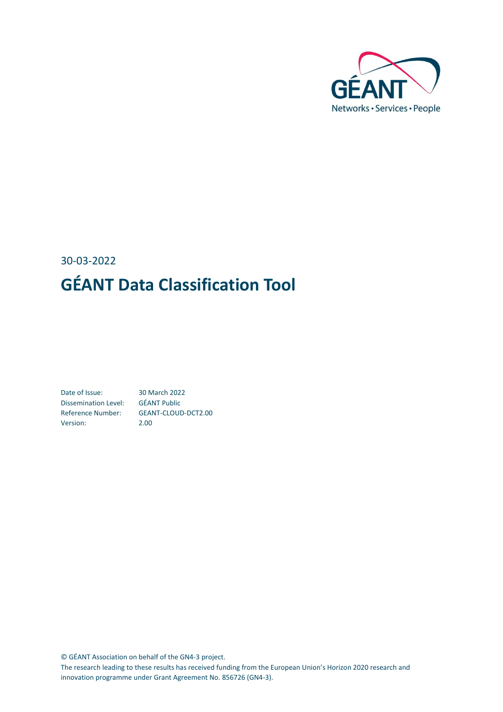

## 30-03-2022 **GÉANT Data Classification Tool**

Date of Issue: 30 March 2022 Dissemination Level: GÉANT Public Reference Number: GEANT-CLOUD-DCT2.00 Version: 2.00

© GÉANT Association on behalf of the GN4-3 project.

The research leading to these results has received funding from the European Union's Horizon 2020 research and innovation programme under Grant Agreement No. 856726 (GN4-3).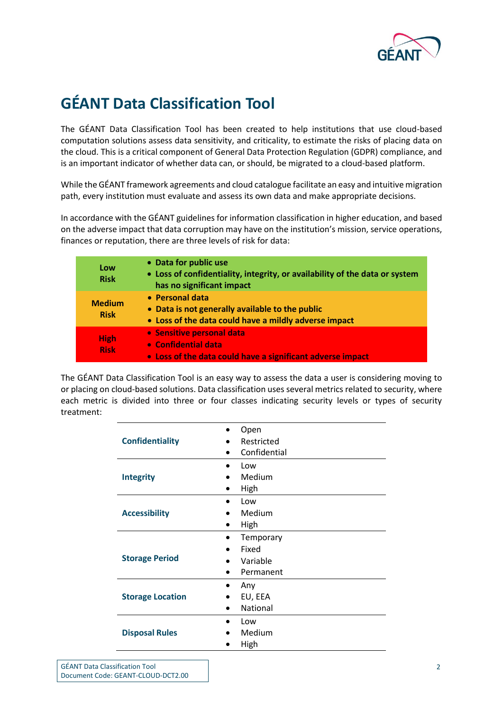

## **GÉANT Data Classification Tool**

The GÉANT Data Classification Tool has been created to help institutions that use cloud-based computation solutions assess data sensitivity, and criticality, to estimate the risks of placing data on the cloud. This is a critical component of General Data Protection Regulation (GDPR) compliance, and is an important indicator of whether data can, or should, be migrated to a cloud-based platform.

While the GÉANT framework agreements and cloud catalogue facilitate an easy and intuitive migration path, every institution must evaluate and assess its own data and make appropriate decisions.

In accordance with the GÉANT guidelines for information classification in higher education, and based on the adverse impact that data corruption may have on the institution's mission, service operations, finances or reputation, there are three levels of risk for data:

| Low<br><b>Risk</b>           | • Data for public use<br>• Loss of confidentiality, integrity, or availability of the data or system<br>has no significant impact |
|------------------------------|-----------------------------------------------------------------------------------------------------------------------------------|
| <b>Medium</b><br><b>Risk</b> | • Personal data<br>• Data is not generally available to the public<br>• Loss of the data could have a mildly adverse impact       |
| <b>High</b><br><b>Risk</b>   | · Sensitive personal data<br>• Confidential data<br>• Loss of the data could have a significant adverse impact                    |

The GÉANT Data Classification Tool is an easy way to assess the data a user is considering moving to or placing on cloud-based solutions. Data classification uses several metrics related to security, where each metric is divided into three or four classes indicating security levels or types of security treatment:

|                         | Open         |
|-------------------------|--------------|
| <b>Confidentiality</b>  | Restricted   |
|                         | Confidential |
|                         | Low          |
| <b>Integrity</b>        | Medium       |
|                         | High         |
|                         | Low          |
| <b>Accessibility</b>    | Medium       |
|                         | High         |
|                         | Temporary    |
|                         | Fixed        |
| <b>Storage Period</b>   | Variable     |
|                         | Permanent    |
|                         | Any          |
| <b>Storage Location</b> | EU, EEA      |
|                         | National     |
|                         | Low          |
| <b>Disposal Rules</b>   | Medium       |
|                         | High         |